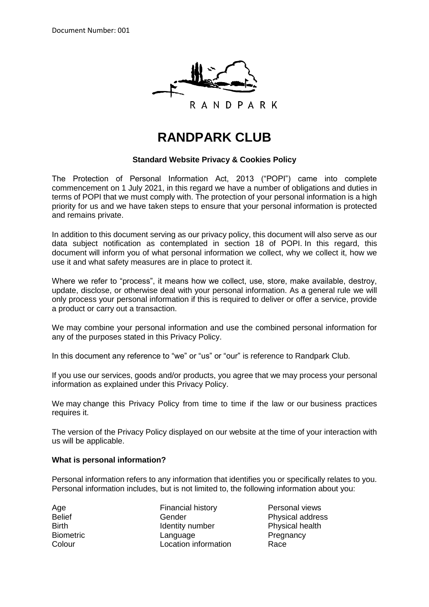

# **RANDPARK CLUB**

#### **Standard Website Privacy & Cookies Policy**

The Protection of Personal Information Act, 2013 ("POPI") came into complete commencement on 1 July 2021, in this regard we have a number of obligations and duties in terms of POPI that we must comply with. The protection of your personal information is a high priority for us and we have taken steps to ensure that your personal information is protected and remains private.

In addition to this document serving as our privacy policy, this document will also serve as our data subject notification as contemplated in section 18 of POPI. In this regard, this document will inform you of what personal information we collect, why we collect it, how we use it and what safety measures are in place to protect it.

Where we refer to "process", it means how we collect, use, store, make available, destroy, update, disclose, or otherwise deal with your personal information. As a general rule we will only process your personal information if this is required to deliver or offer a service, provide a product or carry out a transaction.

We may combine your personal information and use the combined personal information for any of the purposes stated in this Privacy Policy.

In this document any reference to "we" or "us" or "our" is reference to Randpark Club.

If you use our services, goods and/or products, you agree that we may process your personal information as explained under this Privacy Policy.

We may change this Privacy Policy from time to time if the law or our business practices requires it.

The version of the Privacy Policy displayed on our website at the time of your interaction with us will be applicable.

#### **What is personal information?**

Personal information refers to any information that identifies you or specifically relates to you. Personal information includes, but is not limited to, the following information about you:

Age **Financial history** Personal views Personal views Belief Gender Gender Physical address Birth **Identity number** Physical health Biometric **Language Communist Executive Language** Pregnancy **Colour Colour Location information Race**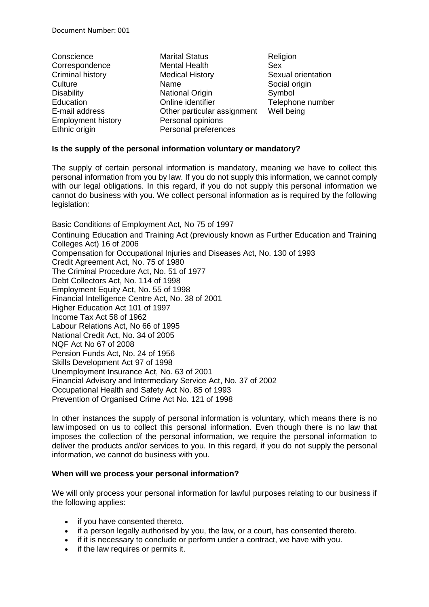- Conscience Marital Status Religion Employment history **Personal opinions**
- Correspondence Mental Health Sex Criminal history Medical History Sexual orientation Culture Name Name Social origin Disability **National Origin** Symbol Symbol Education **Education** Online identifier Telephone number E-mail address Other particular assignment Well being Ethnic origin **Personal preferences**
- 

## **Is the supply of the personal information voluntary or mandatory?**

The supply of certain personal information is mandatory, meaning we have to collect this personal information from you by law. If you do not supply this information, we cannot comply with our legal obligations. In this regard, if you do not supply this personal information we cannot do business with you. We collect personal information as is required by the following legislation:

Basic Conditions of Employment Act, No 75 of 1997 Continuing Education and Training Act (previously known as Further Education and Training Colleges Act) 16 of 2006 Compensation for Occupational Injuries and Diseases Act, No. 130 of 1993 Credit Agreement Act, No. 75 of 1980 The Criminal Procedure Act, No. 51 of 1977 Debt Collectors Act, No. 114 of 1998 Employment Equity Act, No. 55 of 1998 Financial Intelligence Centre Act, No. 38 of 2001 Higher Education Act 101 of 1997 Income Tax Act 58 of 1962 Labour Relations Act, No 66 of 1995 National Credit Act, No. 34 of 2005 NQF Act No 67 of 2008 Pension Funds Act, No. 24 of 1956 Skills Development Act 97 of 1998 Unemployment Insurance Act, No. 63 of 2001 Financial Advisory and Intermediary Service Act, No. 37 of 2002 Occupational Health and Safety Act No. 85 of 1993 Prevention of Organised Crime Act No. 121 of 1998

In other instances the supply of personal information is voluntary, which means there is no law imposed on us to collect this personal information. Even though there is no law that imposes the collection of the personal information, we require the personal information to deliver the products and/or services to you. In this regard, if you do not supply the personal information, we cannot do business with you.

## **When will we process your personal information?**

We will only process your personal information for lawful purposes relating to our business if the following applies:

- if you have consented thereto.
- if a person legally authorised by you, the law, or a court, has consented thereto.
- if it is necessary to conclude or perform under a contract, we have with you.
- if the law requires or permits it.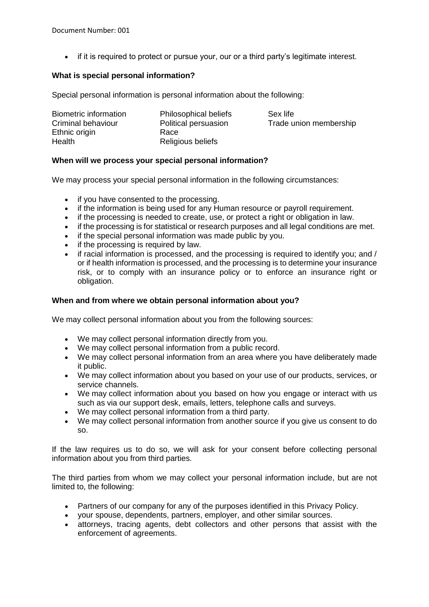• if it is required to protect or pursue your, our or a third party's legitimate interest.

## **What is special personal information?**

Special personal information is personal information about the following:

| Biometric information | <b>Philosophical beliefs</b> | Sex life               |
|-----------------------|------------------------------|------------------------|
| Criminal behaviour    | Political persuasion         | Trade union membership |
| Ethnic origin         | Race                         |                        |
| Health                | Religious beliefs            |                        |

## **When will we process your special personal information?**

We may process your special personal information in the following circumstances:

- if you have consented to the processing.
- if the information is being used for any Human resource or payroll requirement.
- if the processing is needed to create, use, or protect a right or obligation in law.
- if the processing is for statistical or research purposes and all legal conditions are met.
- if the special personal information was made public by you.
- if the processing is required by law.
- if racial information is processed, and the processing is required to identify you; and / or if health information is processed, and the processing is to determine your insurance risk, or to comply with an insurance policy or to enforce an insurance right or obligation.

## **When and from where we obtain personal information about you?**

We may collect personal information about you from the following sources:

- We may collect personal information directly from you.
- We may collect personal information from a public record.
- We may collect personal information from an area where you have deliberately made it public.
- We may collect information about you based on your use of our products, services, or service channels.
- We may collect information about you based on how you engage or interact with us such as via our support desk, emails, letters, telephone calls and surveys.
- We may collect personal information from a third party.
- We may collect personal information from another source if you give us consent to do so.

If the law requires us to do so, we will ask for your consent before collecting personal information about you from third parties.

The third parties from whom we may collect your personal information include, but are not limited to, the following:

- Partners of our company for any of the purposes identified in this Privacy Policy.
- your spouse, dependents, partners, employer, and other similar sources.
- attorneys, tracing agents, debt collectors and other persons that assist with the enforcement of agreements.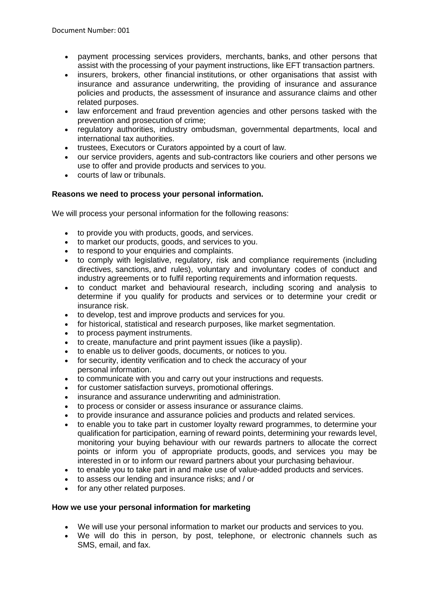- payment processing services providers, merchants, banks, and other persons that assist with the processing of your payment instructions, like EFT transaction partners.
- insurers, brokers, other financial institutions, or other organisations that assist with insurance and assurance underwriting, the providing of insurance and assurance policies and products, the assessment of insurance and assurance claims and other related purposes.
- law enforcement and fraud prevention agencies and other persons tasked with the prevention and prosecution of crime;
- regulatory authorities, industry ombudsman, governmental departments, local and international tax authorities.
- trustees, Executors or Curators appointed by a court of law.
- our service providers, agents and sub-contractors like couriers and other persons we use to offer and provide products and services to you.
- courts of law or tribunals.

# **Reasons we need to process your personal information.**

We will process your personal information for the following reasons:

- to provide you with products, goods, and services.
- to market our products, goods, and services to you.
- to respond to your enquiries and complaints.
- to comply with legislative, regulatory, risk and compliance requirements (including directives, sanctions, and rules), voluntary and involuntary codes of conduct and industry agreements or to fulfil reporting requirements and information requests.
- to conduct market and behavioural research, including scoring and analysis to determine if you qualify for products and services or to determine your credit or insurance risk.
- to develop, test and improve products and services for you.
- for historical, statistical and research purposes, like market segmentation.
- to process payment instruments.
- to create, manufacture and print payment issues (like a payslip).
- to enable us to deliver goods, documents, or notices to you.
- for security, identity verification and to check the accuracy of your personal information.
- to communicate with you and carry out your instructions and requests.
- for customer satisfaction surveys, promotional offerings.
- insurance and assurance underwriting and administration.
- to process or consider or assess insurance or assurance claims.
- to provide insurance and assurance policies and products and related services.
- to enable you to take part in customer loyalty reward programmes, to determine your qualification for participation, earning of reward points, determining your rewards level, monitoring your buying behaviour with our rewards partners to allocate the correct points or inform you of appropriate products, goods, and services you may be interested in or to inform our reward partners about your purchasing behaviour.
- to enable you to take part in and make use of value-added products and services.
- to assess our lending and insurance risks; and / or
- for any other related purposes.

## **How we use your personal information for marketing**

- We will use your personal information to market our products and services to you.
- We will do this in person, by post, telephone, or electronic channels such as SMS, email, and fax.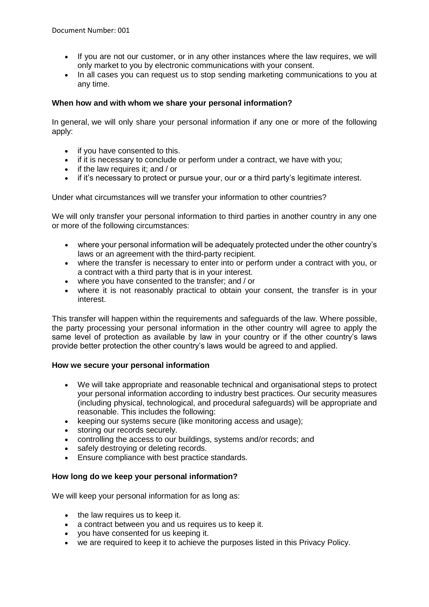- If you are not our customer, or in any other instances where the law requires, we will only market to you by electronic communications with your consent.
- In all cases you can request us to stop sending marketing communications to you at any time.

## **When how and with whom we share your personal information?**

In general, we will only share your personal information if any one or more of the following apply:

- if you have consented to this.
- if it is necessary to conclude or perform under a contract, we have with you;
- $\bullet$  if the law requires it; and / or
- if it's necessary to protect or pursue your, our or a third party's legitimate interest.

Under what circumstances will we transfer your information to other countries?

We will only transfer your personal information to third parties in another country in any one or more of the following circumstances:

- where your personal information will be adequately protected under the other country's laws or an agreement with the third-party recipient.
- where the transfer is necessary to enter into or perform under a contract with you, or a contract with a third party that is in your interest.
- where you have consented to the transfer; and / or
- where it is not reasonably practical to obtain your consent, the transfer is in your interest.

This transfer will happen within the requirements and safeguards of the law. Where possible, the party processing your personal information in the other country will agree to apply the same level of protection as available by law in your country or if the other country's laws provide better protection the other country's laws would be agreed to and applied.

## **How we secure your personal information**

- We will take appropriate and reasonable technical and organisational steps to protect your personal information according to industry best practices. Our security measures (including physical, technological, and procedural safeguards) will be appropriate and reasonable. This includes the following:
- keeping our systems secure (like monitoring access and usage);
- storing our records securely.
- controlling the access to our buildings, systems and/or records; and
- safely destroying or deleting records.
- Ensure compliance with best practice standards.

# **How long do we keep your personal information?**

We will keep your personal information for as long as:

- the law requires us to keep it.
- a contract between you and us requires us to keep it.
- you have consented for us keeping it.
- we are required to keep it to achieve the purposes listed in this Privacy Policy.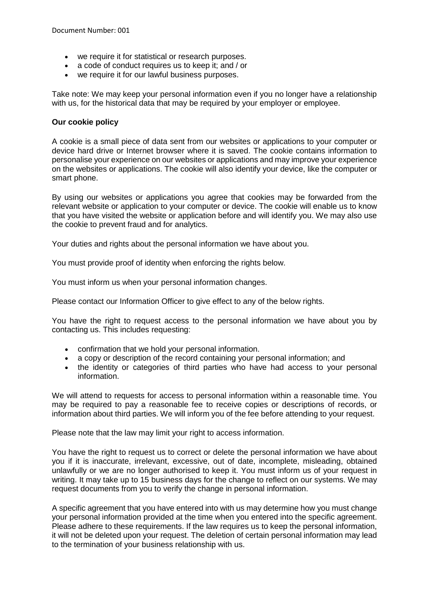- we require it for statistical or research purposes.
- a code of conduct requires us to keep it; and / or
- we require it for our lawful business purposes.

Take note: We may keep your personal information even if you no longer have a relationship with us, for the historical data that may be required by your employer or employee.

#### **Our cookie policy**

A cookie is a small piece of data sent from our websites or applications to your computer or device hard drive or Internet browser where it is saved. The cookie contains information to personalise your experience on our websites or applications and may improve your experience on the websites or applications. The cookie will also identify your device, like the computer or smart phone.

By using our websites or applications you agree that cookies may be forwarded from the relevant website or application to your computer or device. The cookie will enable us to know that you have visited the website or application before and will identify you. We may also use the cookie to prevent fraud and for analytics.

Your duties and rights about the personal information we have about you.

You must provide proof of identity when enforcing the rights below.

You must inform us when your personal information changes.

Please contact our Information Officer to give effect to any of the below rights.

You have the right to request access to the personal information we have about you by contacting us. This includes requesting:

- confirmation that we hold your personal information.
- a copy or description of the record containing your personal information; and
- the identity or categories of third parties who have had access to your personal information.

We will attend to requests for access to personal information within a reasonable time. You may be required to pay a reasonable fee to receive copies or descriptions of records, or information about third parties. We will inform you of the fee before attending to your request.

Please note that the law may limit your right to access information.

You have the right to request us to correct or delete the personal information we have about you if it is inaccurate, irrelevant, excessive, out of date, incomplete, misleading, obtained unlawfully or we are no longer authorised to keep it. You must inform us of your request in writing. It may take up to 15 business days for the change to reflect on our systems. We may request documents from you to verify the change in personal information.

A specific agreement that you have entered into with us may determine how you must change your personal information provided at the time when you entered into the specific agreement. Please adhere to these requirements. If the law requires us to keep the personal information, it will not be deleted upon your request. The deletion of certain personal information may lead to the termination of your business relationship with us.